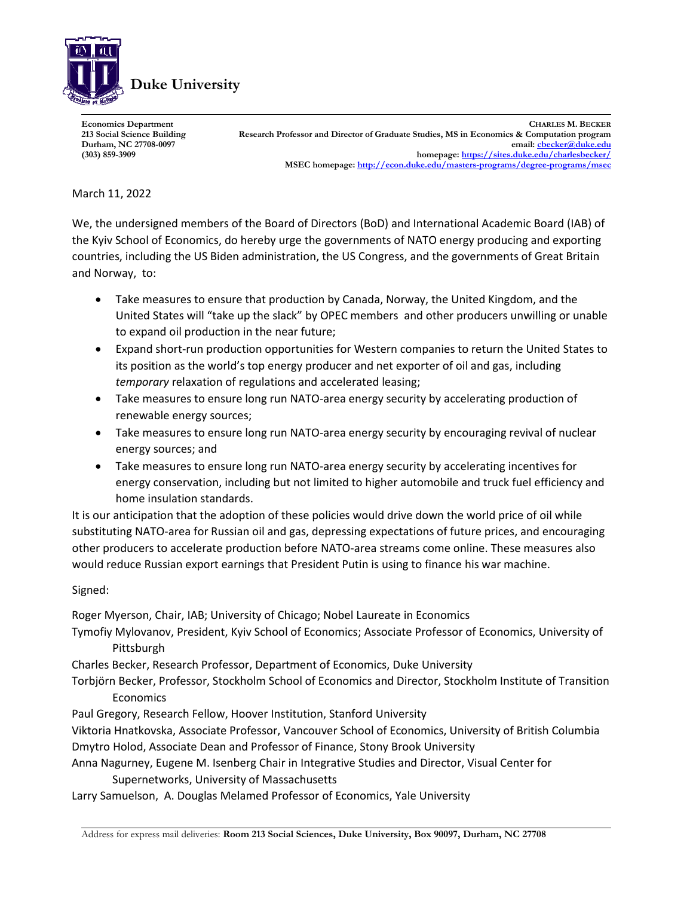

**Economics Department CHARLES M. BECKER 213 Social Science Building Research Professor and Director of Graduate Studies, MS in Economics & Computation program Durham, NC 27708-0097 email[: cbecker@duke.edu](mailto:cbecker@duke.edu) (303) 859-3909 homepage:<https://sites.duke.edu/charlesbecker/> MSEC homepage[: http://econ.duke.edu/masters-programs/degree-programs/msec](http://econ.duke.edu/masters-programs/degree-programs/msec)**

## March 11, 2022

We, the undersigned members of the Board of Directors (BoD) and International Academic Board (IAB) of the Kyiv School of Economics, do hereby urge the governments of NATO energy producing and exporting countries, including the US Biden administration, the US Congress, and the governments of Great Britain and Norway, to:

- Take measures to ensure that production by Canada, Norway, the United Kingdom, and the United States will "take up the slack" by OPEC members and other producers unwilling or unable to expand oil production in the near future;
- Expand short-run production opportunities for Western companies to return the United States to its position as the world's top energy producer and net exporter of oil and gas, including *temporary* relaxation of regulations and accelerated leasing;
- Take measures to ensure long run NATO-area energy security by accelerating production of renewable energy sources;
- Take measures to ensure long run NATO-area energy security by encouraging revival of nuclear energy sources; and
- Take measures to ensure long run NATO-area energy security by accelerating incentives for energy conservation, including but not limited to higher automobile and truck fuel efficiency and home insulation standards.

It is our anticipation that the adoption of these policies would drive down the world price of oil while substituting NATO-area for Russian oil and gas, depressing expectations of future prices, and encouraging other producers to accelerate production before NATO-area streams come online. These measures also would reduce Russian export earnings that President Putin is using to finance his war machine.

## Signed:

Roger Myerson, Chair, IAB; University of Chicago; Nobel Laureate in Economics

- Tymofiy Mylovanov, President, Kyiv School of Economics; Associate Professor of Economics, University of Pittsburgh
- Charles Becker, Research Professor, Department of Economics, Duke University
- Torbjörn Becker, Professor, Stockholm School of Economics and Director, Stockholm Institute of Transition **Economics**
- Paul Gregory, Research Fellow, Hoover Institution, Stanford University

Viktoria Hnatkovska, Associate Professor, Vancouver School of Economics, University of British Columbia Dmytro Holod, Associate Dean and Professor of Finance, Stony Brook University

Anna Nagurney, Eugene M. Isenberg Chair in Integrative Studies and Director, Visual Center for Supernetworks, University of Massachusetts

Larry Samuelson, A. Douglas Melamed Professor of Economics, Yale University